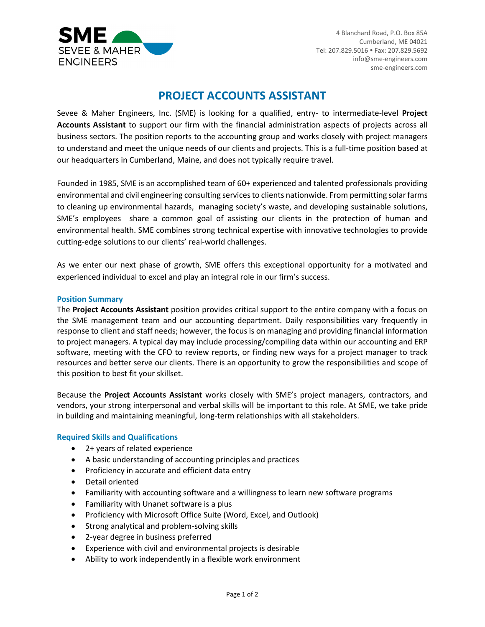

4 Blanchard Road, P.O. Box 85A Cumberland, ME 04021 Tel: 207.829.5016 Fax: 207.829.5692 info@sme-engineers.com sme-engineers.com

# **PROJECT ACCOUNTS ASSISTANT**

Sevee & Maher Engineers, Inc. (SME) is looking for a qualified, entry- to intermediate-level **Project Accounts Assistant** to support our firm with the financial administration aspects of projects across all business sectors. The position reports to the accounting group and works closely with project managers to understand and meet the unique needs of our clients and projects. This is a full-time position based at our headquarters in Cumberland, Maine, and does not typically require travel.

Founded in 1985, SME is an accomplished team of 60+ experienced and talented professionals providing environmental and civil engineering consulting services to clients nationwide. From permitting solar farms to cleaning up environmental hazards, managing society's waste, and developing sustainable solutions, SME's employees share a common goal of assisting our clients in the protection of human and environmental health. SME combines strong technical expertise with innovative technologies to provide cutting-edge solutions to our clients' real-world challenges.

As we enter our next phase of growth, SME offers this exceptional opportunity for a motivated and experienced individual to excel and play an integral role in our firm's success.

# **Position Summary**

The **Project Accounts Assistant** position provides critical support to the entire company with a focus on the SME management team and our accounting department. Daily responsibilities vary frequently in response to client and staff needs; however, the focus is on managing and providing financial information to project managers. A typical day may include processing/compiling data within our accounting and ERP software, meeting with the CFO to review reports, or finding new ways for a project manager to track resources and better serve our clients. There is an opportunity to grow the responsibilities and scope of this position to best fit your skillset.

Because the **Project Accounts Assistant** works closely with SME's project managers, contractors, and vendors, your strong interpersonal and verbal skills will be important to this role. At SME, we take pride in building and maintaining meaningful, long-term relationships with all stakeholders.

## **Required Skills and Qualifications**

- 2+ years of related experience
- A basic understanding of accounting principles and practices
- Proficiency in accurate and efficient data entry
- Detail oriented
- Familiarity with accounting software and a willingness to learn new software programs
- Familiarity with Unanet software is a plus
- Proficiency with Microsoft Office Suite (Word, Excel, and Outlook)
- Strong analytical and problem-solving skills
- 2-year degree in business preferred
- Experience with civil and environmental projects is desirable
- Ability to work independently in a flexible work environment